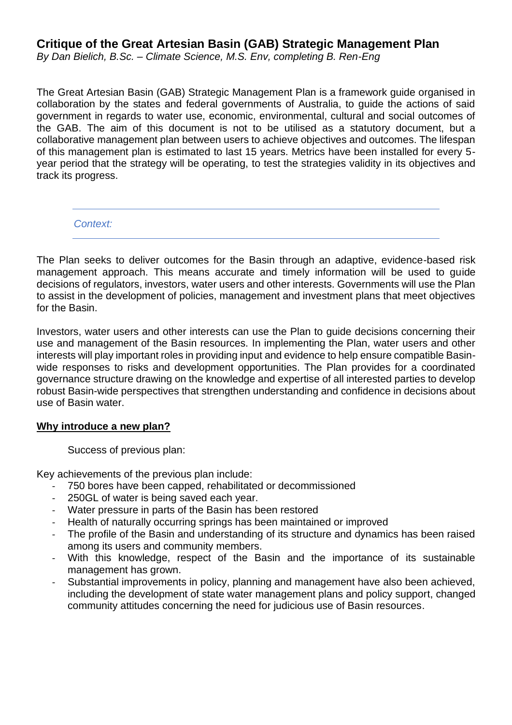*By Dan Bielich, B.Sc. – Climate Science, M.S. Env, completing B. Ren-Eng*

The Great Artesian Basin (GAB) Strategic Management Plan is a framework guide organised in collaboration by the states and federal governments of Australia, to guide the actions of said government in regards to water use, economic, environmental, cultural and social outcomes of the GAB. The aim of this document is not to be utilised as a statutory document, but a collaborative management plan between users to achieve objectives and outcomes. The lifespan of this management plan is estimated to last 15 years. Metrics have been installed for every 5 year period that the strategy will be operating, to test the strategies validity in its objectives and track its progress.

*Context:*

The Plan seeks to deliver outcomes for the Basin through an adaptive, evidence-based risk management approach. This means accurate and timely information will be used to guide decisions of regulators, investors, water users and other interests. Governments will use the Plan to assist in the development of policies, management and investment plans that meet objectives for the Basin.

Investors, water users and other interests can use the Plan to guide decisions concerning their use and management of the Basin resources. In implementing the Plan, water users and other interests will play important roles in providing input and evidence to help ensure compatible Basinwide responses to risks and development opportunities. The Plan provides for a coordinated governance structure drawing on the knowledge and expertise of all interested parties to develop robust Basin-wide perspectives that strengthen understanding and confidence in decisions about use of Basin water.

## **Why introduce a new plan?**

Success of previous plan:

Key achievements of the previous plan include:

- 750 bores have been capped, rehabilitated or decommissioned
- 250GL of water is being saved each year.
- Water pressure in parts of the Basin has been restored
- Health of naturally occurring springs has been maintained or improved
- The profile of the Basin and understanding of its structure and dynamics has been raised among its users and community members.
- With this knowledge, respect of the Basin and the importance of its sustainable management has grown.
- Substantial improvements in policy, planning and management have also been achieved, including the development of state water management plans and policy support, changed community attitudes concerning the need for judicious use of Basin resources.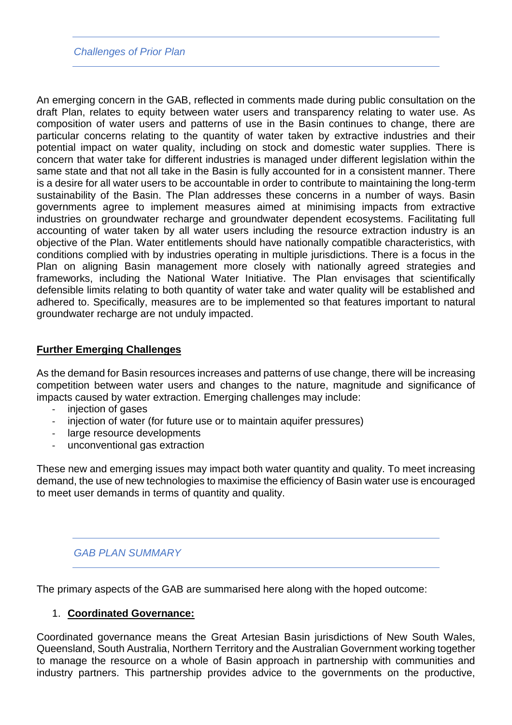## *Challenges of Prior Plan*

An emerging concern in the GAB, reflected in comments made during public consultation on the draft Plan, relates to equity between water users and transparency relating to water use. As composition of water users and patterns of use in the Basin continues to change, there are particular concerns relating to the quantity of water taken by extractive industries and their potential impact on water quality, including on stock and domestic water supplies. There is concern that water take for different industries is managed under different legislation within the same state and that not all take in the Basin is fully accounted for in a consistent manner. There is a desire for all water users to be accountable in order to contribute to maintaining the long-term sustainability of the Basin. The Plan addresses these concerns in a number of ways. Basin governments agree to implement measures aimed at minimising impacts from extractive industries on groundwater recharge and groundwater dependent ecosystems. Facilitating full accounting of water taken by all water users including the resource extraction industry is an objective of the Plan. Water entitlements should have nationally compatible characteristics, with conditions complied with by industries operating in multiple jurisdictions. There is a focus in the Plan on aligning Basin management more closely with nationally agreed strategies and frameworks, including the National Water Initiative. The Plan envisages that scientifically defensible limits relating to both quantity of water take and water quality will be established and adhered to. Specifically, measures are to be implemented so that features important to natural groundwater recharge are not unduly impacted.

## **Further Emerging Challenges**

As the demand for Basin resources increases and patterns of use change, there will be increasing competition between water users and changes to the nature, magnitude and significance of impacts caused by water extraction. Emerging challenges may include:

- injection of gases
- injection of water (for future use or to maintain aquifer pressures)
- large resource developments
- unconventional gas extraction

These new and emerging issues may impact both water quantity and quality. To meet increasing demand, the use of new technologies to maximise the efficiency of Basin water use is encouraged to meet user demands in terms of quantity and quality.

## *GAB PLAN SUMMARY*

The primary aspects of the GAB are summarised here along with the hoped outcome:

#### 1. **Coordinated Governance:**

Coordinated governance means the Great Artesian Basin jurisdictions of New South Wales, Queensland, South Australia, Northern Territory and the Australian Government working together to manage the resource on a whole of Basin approach in partnership with communities and industry partners. This partnership provides advice to the governments on the productive,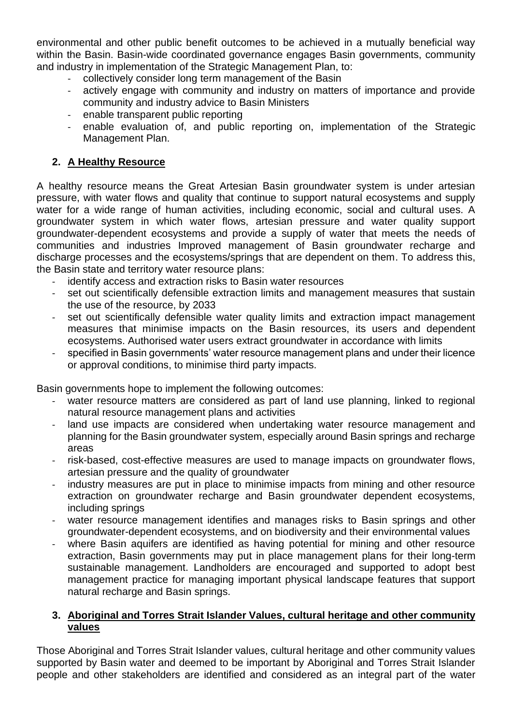environmental and other public benefit outcomes to be achieved in a mutually beneficial way within the Basin. Basin-wide coordinated governance engages Basin governments, community and industry in implementation of the Strategic Management Plan, to:

- collectively consider long term management of the Basin
- actively engage with community and industry on matters of importance and provide community and industry advice to Basin Ministers
- enable transparent public reporting
- enable evaluation of, and public reporting on, implementation of the Strategic Management Plan.

# **2. A Healthy Resource**

A healthy resource means the Great Artesian Basin groundwater system is under artesian pressure, with water flows and quality that continue to support natural ecosystems and supply water for a wide range of human activities, including economic, social and cultural uses. A groundwater system in which water flows, artesian pressure and water quality support groundwater-dependent ecosystems and provide a supply of water that meets the needs of communities and industries Improved management of Basin groundwater recharge and discharge processes and the ecosystems/springs that are dependent on them. To address this, the Basin state and territory water resource plans:

- identify access and extraction risks to Basin water resources
- set out scientifically defensible extraction limits and management measures that sustain the use of the resource, by 2033
- set out scientifically defensible water quality limits and extraction impact management measures that minimise impacts on the Basin resources, its users and dependent ecosystems. Authorised water users extract groundwater in accordance with limits
- specified in Basin governments' water resource management plans and under their licence or approval conditions, to minimise third party impacts.

Basin governments hope to implement the following outcomes:

- water resource matters are considered as part of land use planning, linked to regional natural resource management plans and activities
- land use impacts are considered when undertaking water resource management and planning for the Basin groundwater system, especially around Basin springs and recharge areas
- risk-based, cost-effective measures are used to manage impacts on groundwater flows, artesian pressure and the quality of groundwater
- industry measures are put in place to minimise impacts from mining and other resource extraction on groundwater recharge and Basin groundwater dependent ecosystems, including springs
- water resource management identifies and manages risks to Basin springs and other groundwater-dependent ecosystems, and on biodiversity and their environmental values
- where Basin aquifers are identified as having potential for mining and other resource extraction, Basin governments may put in place management plans for their long-term sustainable management. Landholders are encouraged and supported to adopt best management practice for managing important physical landscape features that support natural recharge and Basin springs.

## **3. Aboriginal and Torres Strait Islander Values, cultural heritage and other community values**

Those Aboriginal and Torres Strait Islander values, cultural heritage and other community values supported by Basin water and deemed to be important by Aboriginal and Torres Strait Islander people and other stakeholders are identified and considered as an integral part of the water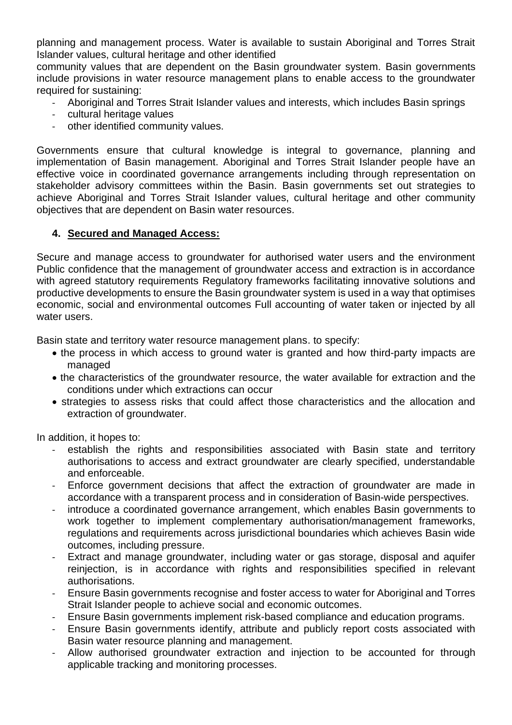planning and management process. Water is available to sustain Aboriginal and Torres Strait Islander values, cultural heritage and other identified

community values that are dependent on the Basin groundwater system. Basin governments include provisions in water resource management plans to enable access to the groundwater required for sustaining:

- Aboriginal and Torres Strait Islander values and interests, which includes Basin springs
- cultural heritage values
- other identified community values.

Governments ensure that cultural knowledge is integral to governance, planning and implementation of Basin management. Aboriginal and Torres Strait Islander people have an effective voice in coordinated governance arrangements including through representation on stakeholder advisory committees within the Basin. Basin governments set out strategies to achieve Aboriginal and Torres Strait Islander values, cultural heritage and other community objectives that are dependent on Basin water resources.

## **4. Secured and Managed Access:**

Secure and manage access to groundwater for authorised water users and the environment Public confidence that the management of groundwater access and extraction is in accordance with agreed statutory requirements Regulatory frameworks facilitating innovative solutions and productive developments to ensure the Basin groundwater system is used in a way that optimises economic, social and environmental outcomes Full accounting of water taken or injected by all water users.

Basin state and territory water resource management plans. to specify:

- the process in which access to ground water is granted and how third-party impacts are managed
- the characteristics of the groundwater resource, the water available for extraction and the conditions under which extractions can occur
- strategies to assess risks that could affect those characteristics and the allocation and extraction of groundwater.

In addition, it hopes to:

- establish the rights and responsibilities associated with Basin state and territory authorisations to access and extract groundwater are clearly specified, understandable and enforceable.
- Enforce government decisions that affect the extraction of groundwater are made in accordance with a transparent process and in consideration of Basin-wide perspectives.
- introduce a coordinated governance arrangement, which enables Basin governments to work together to implement complementary authorisation/management frameworks, regulations and requirements across jurisdictional boundaries which achieves Basin wide outcomes, including pressure.
- Extract and manage groundwater, including water or gas storage, disposal and aquifer reinjection, is in accordance with rights and responsibilities specified in relevant authorisations.
- Ensure Basin governments recognise and foster access to water for Aboriginal and Torres Strait Islander people to achieve social and economic outcomes.
- Ensure Basin governments implement risk-based compliance and education programs.
- Ensure Basin governments identify, attribute and publicly report costs associated with Basin water resource planning and management.
- Allow authorised groundwater extraction and injection to be accounted for through applicable tracking and monitoring processes.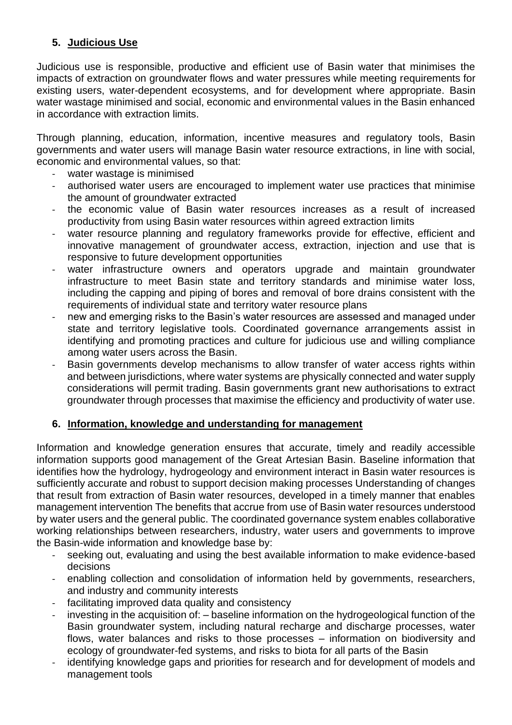# **5. Judicious Use**

Judicious use is responsible, productive and efficient use of Basin water that minimises the impacts of extraction on groundwater flows and water pressures while meeting requirements for existing users, water-dependent ecosystems, and for development where appropriate. Basin water wastage minimised and social, economic and environmental values in the Basin enhanced in accordance with extraction limits.

Through planning, education, information, incentive measures and regulatory tools, Basin governments and water users will manage Basin water resource extractions, in line with social, economic and environmental values, so that:

- water wastage is minimised
- authorised water users are encouraged to implement water use practices that minimise the amount of groundwater extracted
- the economic value of Basin water resources increases as a result of increased productivity from using Basin water resources within agreed extraction limits
- water resource planning and regulatory frameworks provide for effective, efficient and innovative management of groundwater access, extraction, injection and use that is responsive to future development opportunities
- water infrastructure owners and operators upgrade and maintain groundwater infrastructure to meet Basin state and territory standards and minimise water loss, including the capping and piping of bores and removal of bore drains consistent with the requirements of individual state and territory water resource plans
- new and emerging risks to the Basin's water resources are assessed and managed under state and territory legislative tools. Coordinated governance arrangements assist in identifying and promoting practices and culture for judicious use and willing compliance among water users across the Basin.
- Basin governments develop mechanisms to allow transfer of water access rights within and between jurisdictions, where water systems are physically connected and water supply considerations will permit trading. Basin governments grant new authorisations to extract groundwater through processes that maximise the efficiency and productivity of water use.

## **6. Information, knowledge and understanding for management**

Information and knowledge generation ensures that accurate, timely and readily accessible information supports good management of the Great Artesian Basin. Baseline information that identifies how the hydrology, hydrogeology and environment interact in Basin water resources is sufficiently accurate and robust to support decision making processes Understanding of changes that result from extraction of Basin water resources, developed in a timely manner that enables management intervention The benefits that accrue from use of Basin water resources understood by water users and the general public. The coordinated governance system enables collaborative working relationships between researchers, industry, water users and governments to improve the Basin-wide information and knowledge base by:

- seeking out, evaluating and using the best available information to make evidence-based decisions
- enabling collection and consolidation of information held by governments, researchers, and industry and community interests
- facilitating improved data quality and consistency
- investing in the acquisition of: baseline information on the hydrogeological function of the Basin groundwater system, including natural recharge and discharge processes, water flows, water balances and risks to those processes – information on biodiversity and ecology of groundwater-fed systems, and risks to biota for all parts of the Basin
- identifying knowledge gaps and priorities for research and for development of models and management tools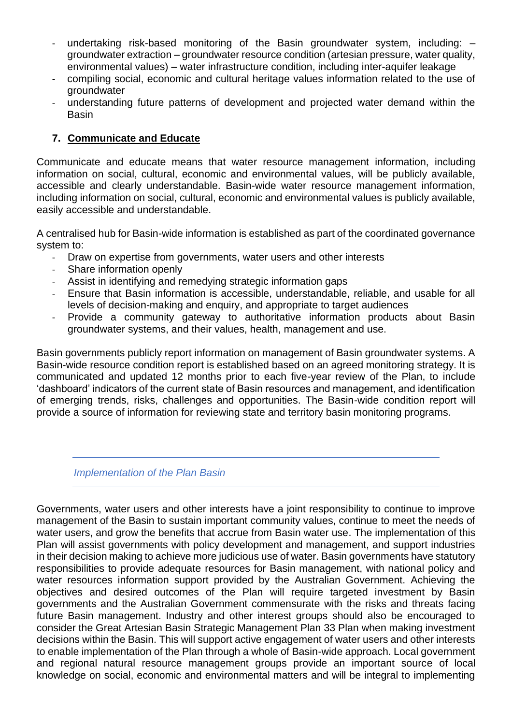- undertaking risk-based monitoring of the Basin groundwater system, including:  $$ groundwater extraction – groundwater resource condition (artesian pressure, water quality, environmental values) – water infrastructure condition, including inter-aquifer leakage
- compiling social, economic and cultural heritage values information related to the use of groundwater
- understanding future patterns of development and projected water demand within the Basin

## **7. Communicate and Educate**

Communicate and educate means that water resource management information, including information on social, cultural, economic and environmental values, will be publicly available, accessible and clearly understandable. Basin-wide water resource management information, including information on social, cultural, economic and environmental values is publicly available, easily accessible and understandable.

A centralised hub for Basin-wide information is established as part of the coordinated governance system to:

- Draw on expertise from governments, water users and other interests
- Share information openly
- Assist in identifying and remedying strategic information gaps
- Ensure that Basin information is accessible, understandable, reliable, and usable for all levels of decision-making and enquiry, and appropriate to target audiences
- Provide a community gateway to authoritative information products about Basin groundwater systems, and their values, health, management and use.

Basin governments publicly report information on management of Basin groundwater systems. A Basin-wide resource condition report is established based on an agreed monitoring strategy. It is communicated and updated 12 months prior to each five-year review of the Plan, to include 'dashboard' indicators of the current state of Basin resources and management, and identification of emerging trends, risks, challenges and opportunities. The Basin-wide condition report will provide a source of information for reviewing state and territory basin monitoring programs.

## *Implementation of the Plan Basin*

Governments, water users and other interests have a joint responsibility to continue to improve management of the Basin to sustain important community values, continue to meet the needs of water users, and grow the benefits that accrue from Basin water use. The implementation of this Plan will assist governments with policy development and management, and support industries in their decision making to achieve more judicious use of water. Basin governments have statutory responsibilities to provide adequate resources for Basin management, with national policy and water resources information support provided by the Australian Government. Achieving the objectives and desired outcomes of the Plan will require targeted investment by Basin governments and the Australian Government commensurate with the risks and threats facing future Basin management. Industry and other interest groups should also be encouraged to consider the Great Artesian Basin Strategic Management Plan 33 Plan when making investment decisions within the Basin. This will support active engagement of water users and other interests to enable implementation of the Plan through a whole of Basin-wide approach. Local government and regional natural resource management groups provide an important source of local knowledge on social, economic and environmental matters and will be integral to implementing